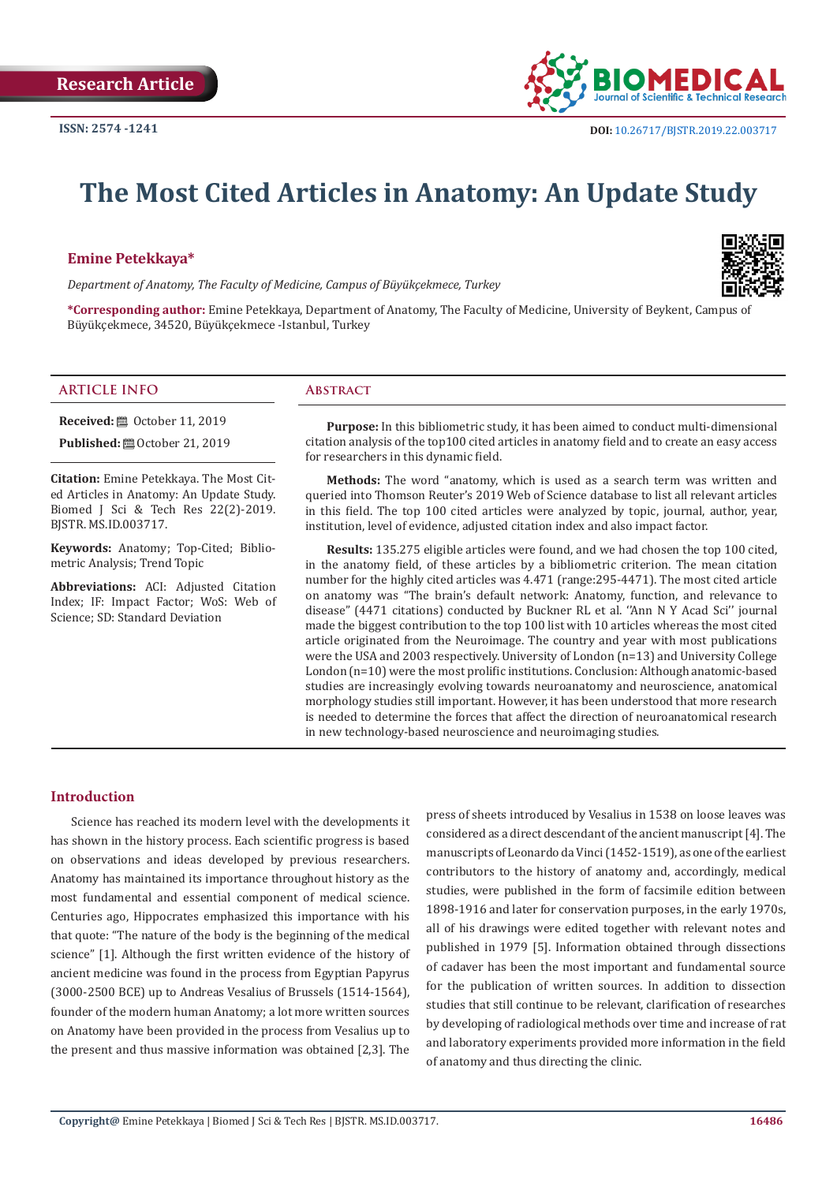

# **The Most Cited Articles in Anatomy: An Update Study**

#### **Emine Petekkaya\***

*Department of Anatomy, The Faculty of Medicine, Campus of Büyükçekmece, Turkey*



**\*Corresponding author:** Emine Petekkaya, Department of Anatomy, The Faculty of Medicine, University of Beykent, Campus of Büyükçekmece, 34520, Büyükçekmece -Istanbul, Turkey

## **ARTICLE INFO Abstract**

**Received: □** October 11, 2019

**Published:**  $\blacksquare$  October 21, 2019

**Citation:** Emine Petekkaya. The Most Cited Articles in Anatomy: An Update Study. Biomed J Sci & Tech Res 22(2)-2019. BJSTR. MS.ID.003717.

**Keywords:** Anatomy; Top-Cited; Bibliometric Analysis; Trend Topic

**Abbreviations:** ACI: Adjusted Citation Index; IF: Impact Factor; WoS: Web of Science; SD: Standard Deviation

**Purpose:** In this bibliometric study, it has been aimed to conduct multi-dimensional citation analysis of the top100 cited articles in anatomy field and to create an easy access for researchers in this dynamic field.

**Methods:** The word "anatomy, which is used as a search term was written and queried into Thomson Reuter's 2019 Web of Science database to list all relevant articles in this field. The top 100 cited articles were analyzed by topic, journal, author, year, institution, level of evidence, adjusted citation index and also impact factor.

**Results:** 135.275 eligible articles were found, and we had chosen the top 100 cited, in the anatomy field, of these articles by a bibliometric criterion. The mean citation number for the highly cited articles was 4.471 (range:295-4471). The most cited article on anatomy was "The brain's default network: Anatomy, function, and relevance to disease" (4471 citations) conducted by Buckner RL et al. ''Ann N Y Acad Sci'' journal made the biggest contribution to the top 100 list with 10 articles whereas the most cited article originated from the Neuroimage. The country and year with most publications were the USA and 2003 respectively. University of London (n=13) and University College London (n=10) were the most prolific institutions. Conclusion: Although anatomic-based studies are increasingly evolving towards neuroanatomy and neuroscience, anatomical morphology studies still important. However, it has been understood that more research is needed to determine the forces that affect the direction of neuroanatomical research in new technology-based neuroscience and neuroimaging studies.

# **Introduction**

Science has reached its modern level with the developments it has shown in the history process. Each scientific progress is based on observations and ideas developed by previous researchers. Anatomy has maintained its importance throughout history as the most fundamental and essential component of medical science. Centuries ago, Hippocrates emphasized this importance with his that quote: "The nature of the body is the beginning of the medical science" [1]. Although the first written evidence of the history of ancient medicine was found in the process from Egyptian Papyrus (3000-2500 BCE) up to Andreas Vesalius of Brussels (1514-1564), founder of the modern human Anatomy; a lot more written sources on Anatomy have been provided in the process from Vesalius up to the present and thus massive information was obtained [2,3]. The

press of sheets introduced by Vesalius in 1538 on loose leaves was considered as a direct descendant of the ancient manuscript [4]. The manuscripts of Leonardo da Vinci (1452-1519), as one of the earliest contributors to the history of anatomy and, accordingly, medical studies, were published in the form of facsimile edition between 1898-1916 and later for conservation purposes, in the early 1970s, all of his drawings were edited together with relevant notes and published in 1979 [5]. Information obtained through dissections of cadaver has been the most important and fundamental source for the publication of written sources. In addition to dissection studies that still continue to be relevant, clarification of researches by developing of radiological methods over time and increase of rat and laboratory experiments provided more information in the field of anatomy and thus directing the clinic.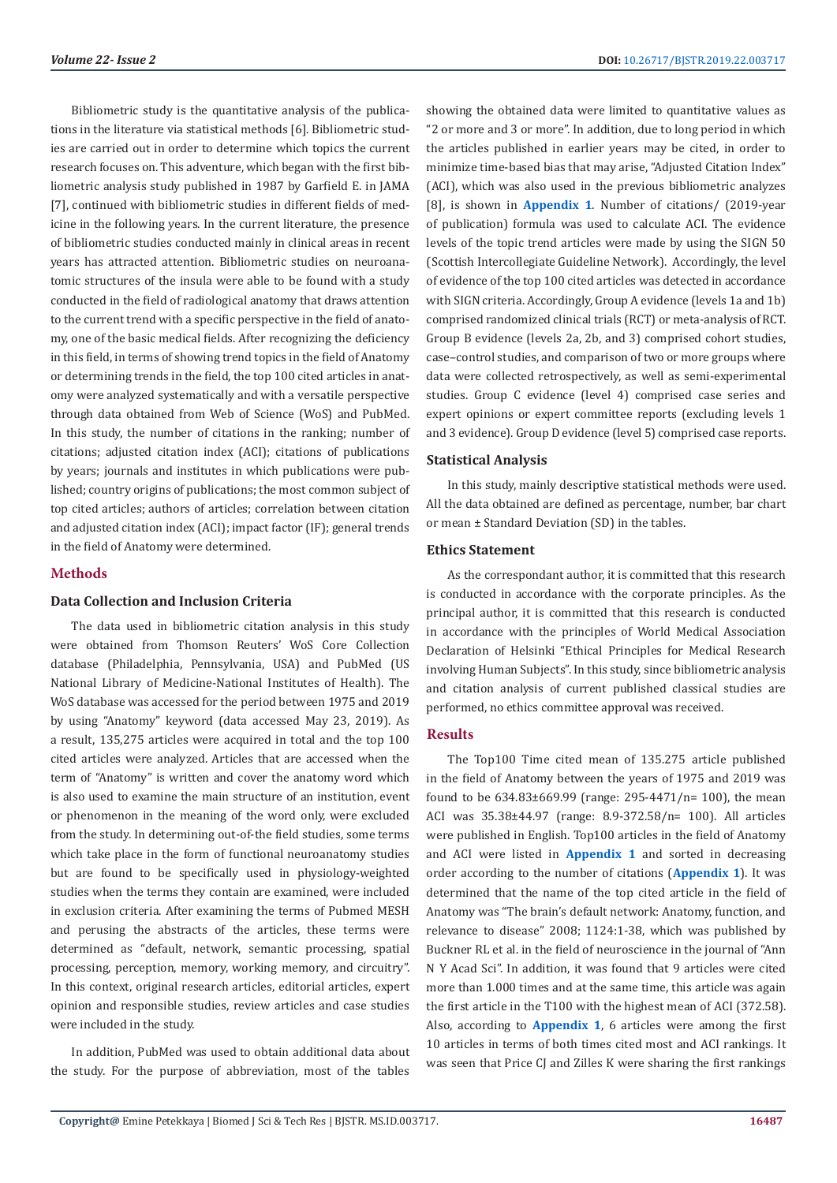Bibliometric study is the quantitative analysis of the publications in the literature via statistical methods [6]. Bibliometric studies are carried out in order to determine which topics the current research focuses on. This adventure, which began with the first bibliometric analysis study published in 1987 by Garfield E. in JAMA [7], continued with bibliometric studies in different fields of medicine in the following years. In the current literature, the presence of bibliometric studies conducted mainly in clinical areas in recent years has attracted attention. Bibliometric studies on neuroanatomic structures of the insula were able to be found with a study conducted in the field of radiological anatomy that draws attention to the current trend with a specific perspective in the field of anatomy, one of the basic medical fields. After recognizing the deficiency in this field, in terms of showing trend topics in the field of Anatomy or determining trends in the field, the top 100 cited articles in anatomy were analyzed systematically and with a versatile perspective through data obtained from Web of Science (WoS) and PubMed. In this study, the number of citations in the ranking; number of citations; adjusted citation index (ACI); citations of publications by years; journals and institutes in which publications were published; country origins of publications; the most common subject of top cited articles; authors of articles; correlation between citation and adjusted citation index (ACI); impact factor (IF); general trends in the field of Anatomy were determined.

# **Methods**

### **Data Collection and Inclusion Criteria**

The data used in bibliometric citation analysis in this study were obtained from Thomson Reuters' WoS Core Collection database (Philadelphia, Pennsylvania, USA) and PubMed (US National Library of Medicine-National Institutes of Health). The WoS database was accessed for the period between 1975 and 2019 by using "Anatomy" keyword (data accessed May 23, 2019). As a result, 135,275 articles were acquired in total and the top 100 cited articles were analyzed. Articles that are accessed when the term of "Anatomy" is written and cover the anatomy word which is also used to examine the main structure of an institution, event or phenomenon in the meaning of the word only, were excluded from the study. In determining out-of-the field studies, some terms which take place in the form of functional neuroanatomy studies but are found to be specifically used in physiology-weighted studies when the terms they contain are examined, were included in exclusion criteria. After examining the terms of Pubmed MESH and perusing the abstracts of the articles, these terms were determined as "default, network, semantic processing, spatial processing, perception, memory, working memory, and circuitry". In this context, original research articles, editorial articles, expert opinion and responsible studies, review articles and case studies were included in the study.

In addition, PubMed was used to obtain additional data about the study. For the purpose of abbreviation, most of the tables

showing the obtained data were limited to quantitative values as "2 or more and 3 or more". In addition, due to long period in which the articles published in earlier years may be cited, in order to minimize time-based bias that may arise, "Adjusted Citation Index" (ACI), which was also used in the previous bibliometric analyzes [8], is shown in **[Appendix 1](https://biomedres.us/pdfs/BJSTR.MS.ID.003717-Appendix-1.pdf)**. Number of citations/ (2019-year of publication) formula was used to calculate ACI. The evidence levels of the topic trend articles were made by using the SIGN 50 (Scottish Intercollegiate Guideline Network). Accordingly, the level of evidence of the top 100 cited articles was detected in accordance with SIGN criteria. Accordingly, Group A evidence (levels 1a and 1b) comprised randomized clinical trials (RCT) or meta-analysis of RCT. Group B evidence (levels 2a, 2b, and 3) comprised cohort studies, case–control studies, and comparison of two or more groups where data were collected retrospectively, as well as semi-experimental studies. Group C evidence (level 4) comprised case series and expert opinions or expert committee reports (excluding levels 1 and 3 evidence). Group D evidence (level 5) comprised case reports.

#### **Statistical Analysis**

In this study, mainly descriptive statistical methods were used. All the data obtained are defined as percentage, number, bar chart or mean ± Standard Deviation (SD) in the tables.

## **Ethics Statement**

As the correspondant author, it is committed that this research is conducted in accordance with the corporate principles. As the principal author, it is committed that this research is conducted in accordance with the principles of World Medical Association Declaration of Helsinki "Ethical Principles for Medical Research involving Human Subjects". In this study, since bibliometric analysis and citation analysis of current published classical studies are performed, no ethics committee approval was received.

# **Results**

The Top100 Time cited mean of 135.275 article published in the field of Anatomy between the years of 1975 and 2019 was found to be 634.83±669.99 (range: 295-4471/n= 100), the mean ACI was 35.38±44.97 (range: 8.9-372.58/n= 100). All articles were published in English. Top100 articles in the field of Anatomy and ACI were listed in **[Appendix 1](https://biomedres.us/pdfs/BJSTR.MS.ID.003717-Appendix-1.pdf)** and sorted in decreasing order according to the number of citations (**[Appendix 1](https://biomedres.us/pdfs/BJSTR.MS.ID.003717-Appendix-1.pdf)**). It was determined that the name of the top cited article in the field of Anatomy was "The brain's default network: Anatomy, function, and relevance to disease" 2008; 1124:1-38, which was published by Buckner RL et al. in the field of neuroscience in the journal of "Ann N Y Acad Sci". In addition, it was found that 9 articles were cited more than 1.000 times and at the same time, this article was again the first article in the T100 with the highest mean of ACI (372.58). Also, according to **[Appendix 1](https://biomedres.us/pdfs/BJSTR.MS.ID.003717-Appendix-1.pdf)**, 6 articles were among the first 10 articles in terms of both times cited most and ACI rankings. It was seen that Price CJ and Zilles K were sharing the first rankings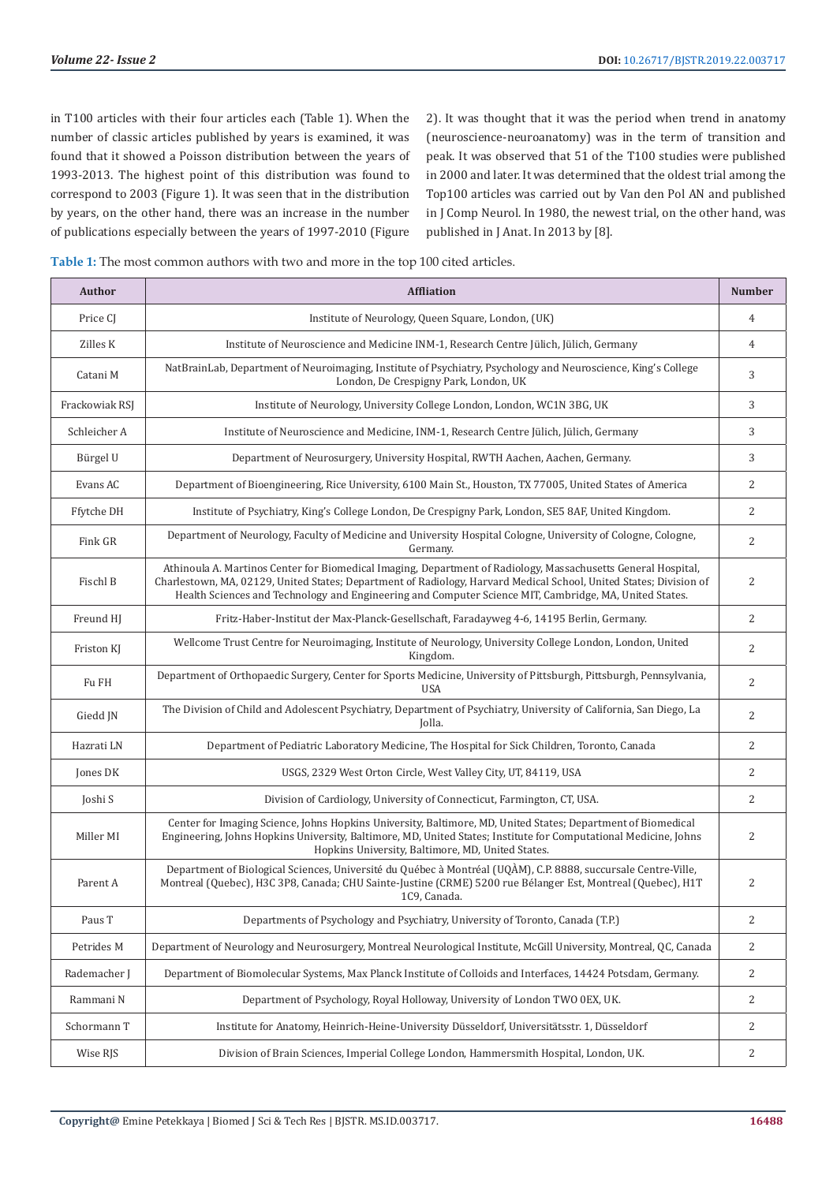in T100 articles with their four articles each (Table 1). When the number of classic articles published by years is examined, it was found that it showed a Poisson distribution between the years of 1993-2013. The highest point of this distribution was found to correspond to 2003 (Figure 1). It was seen that in the distribution by years, on the other hand, there was an increase in the number of publications especially between the years of 1997-2010 (Figure

2). It was thought that it was the period when trend in anatomy (neuroscience-neuroanatomy) was in the term of transition and peak. It was observed that 51 of the T100 studies were published in 2000 and later. It was determined that the oldest trial among the Top100 articles was carried out by Van den Pol AN and published in J Comp Neurol. In 1980, the newest trial, on the other hand, was published in J Anat. In 2013 by [8].

| Table 1: The most common authors with two and more in the top 100 cited articles. |  |
|-----------------------------------------------------------------------------------|--|
|-----------------------------------------------------------------------------------|--|

| Author         | <b>Affliation</b>                                                                                                                                                                                                                                                                                                                             | <b>Number</b>  |
|----------------|-----------------------------------------------------------------------------------------------------------------------------------------------------------------------------------------------------------------------------------------------------------------------------------------------------------------------------------------------|----------------|
| Price CJ       | Institute of Neurology, Queen Square, London, (UK)                                                                                                                                                                                                                                                                                            | $\overline{4}$ |
| Zilles K       | Institute of Neuroscience and Medicine INM-1, Research Centre Jülich, Jülich, Germany                                                                                                                                                                                                                                                         | 4              |
| Catani M       | NatBrainLab, Department of Neuroimaging, Institute of Psychiatry, Psychology and Neuroscience, King's College<br>London, De Crespigny Park, London, UK                                                                                                                                                                                        | 3              |
| Frackowiak RSJ | Institute of Neurology, University College London, London, WC1N 3BG, UK                                                                                                                                                                                                                                                                       | 3              |
| Schleicher A   | Institute of Neuroscience and Medicine, INM-1, Research Centre Jülich, Jülich, Germany                                                                                                                                                                                                                                                        | 3              |
| Bürgel U       | Department of Neurosurgery, University Hospital, RWTH Aachen, Aachen, Germany.                                                                                                                                                                                                                                                                | 3              |
| Evans AC       | Department of Bioengineering, Rice University, 6100 Main St., Houston, TX 77005, United States of America                                                                                                                                                                                                                                     | 2              |
| Ffytche DH     | Institute of Psychiatry, King's College London, De Crespigny Park, London, SE5 8AF, United Kingdom.                                                                                                                                                                                                                                           | $\overline{2}$ |
| Fink GR        | Department of Neurology, Faculty of Medicine and University Hospital Cologne, University of Cologne, Cologne,<br>Germany.                                                                                                                                                                                                                     | $\overline{2}$ |
| Fischl B       | Athinoula A. Martinos Center for Biomedical Imaging, Department of Radiology, Massachusetts General Hospital,<br>Charlestown, MA, 02129, United States; Department of Radiology, Harvard Medical School, United States; Division of<br>Health Sciences and Technology and Engineering and Computer Science MIT, Cambridge, MA, United States. | 2              |
| Freund HJ      | Fritz-Haber-Institut der Max-Planck-Gesellschaft, Faradayweg 4-6, 14195 Berlin, Germany.                                                                                                                                                                                                                                                      | 2              |
| Friston KJ     | Wellcome Trust Centre for Neuroimaging, Institute of Neurology, University College London, London, United<br>Kingdom.                                                                                                                                                                                                                         | 2              |
| Fu FH          | Department of Orthopaedic Surgery, Center for Sports Medicine, University of Pittsburgh, Pittsburgh, Pennsylvania,<br><b>USA</b>                                                                                                                                                                                                              | 2              |
| Giedd JN       | The Division of Child and Adolescent Psychiatry, Department of Psychiatry, University of California, San Diego, La<br>Jolla.                                                                                                                                                                                                                  | $\overline{2}$ |
| Hazrati LN     | Department of Pediatric Laboratory Medicine, The Hospital for Sick Children, Toronto, Canada                                                                                                                                                                                                                                                  | $\overline{2}$ |
| Jones DK       | USGS, 2329 West Orton Circle, West Valley City, UT, 84119, USA                                                                                                                                                                                                                                                                                | 2              |
| Joshi S        | Division of Cardiology, University of Connecticut, Farmington, CT, USA.                                                                                                                                                                                                                                                                       | $\overline{2}$ |
| Miller MI      | Center for Imaging Science, Johns Hopkins University, Baltimore, MD, United States; Department of Biomedical<br>Engineering, Johns Hopkins University, Baltimore, MD, United States; Institute for Computational Medicine, Johns<br>Hopkins University, Baltimore, MD, United States.                                                         | 2              |
| Parent A       | Department of Biological Sciences, Université du Québec à Montréal (UQÀM), C.P. 8888, succursale Centre-Ville,<br>Montreal (Quebec), H3C 3P8, Canada; CHU Sainte-Justine (CRME) 5200 rue Bélanger Est, Montreal (Quebec), H1T<br>1C9, Canada.                                                                                                 | 2              |
| Paus T         | Departments of Psychology and Psychiatry, University of Toronto, Canada (T.P.)                                                                                                                                                                                                                                                                | $\overline{c}$ |
| Petrides M     | Department of Neurology and Neurosurgery, Montreal Neurological Institute, McGill University, Montreal, QC, Canada                                                                                                                                                                                                                            | 2              |
| Rademacher J   | Department of Biomolecular Systems, Max Planck Institute of Colloids and Interfaces, 14424 Potsdam, Germany.                                                                                                                                                                                                                                  | 2              |
| Rammani N      | Department of Psychology, Royal Holloway, University of London TWO 0EX, UK.                                                                                                                                                                                                                                                                   | 2              |
| Schormann T    | Institute for Anatomy, Heinrich-Heine-University Düsseldorf, Universitätsstr. 1, Düsseldorf                                                                                                                                                                                                                                                   | 2              |
| Wise RJS       | Division of Brain Sciences, Imperial College London, Hammersmith Hospital, London, UK.                                                                                                                                                                                                                                                        | 2              |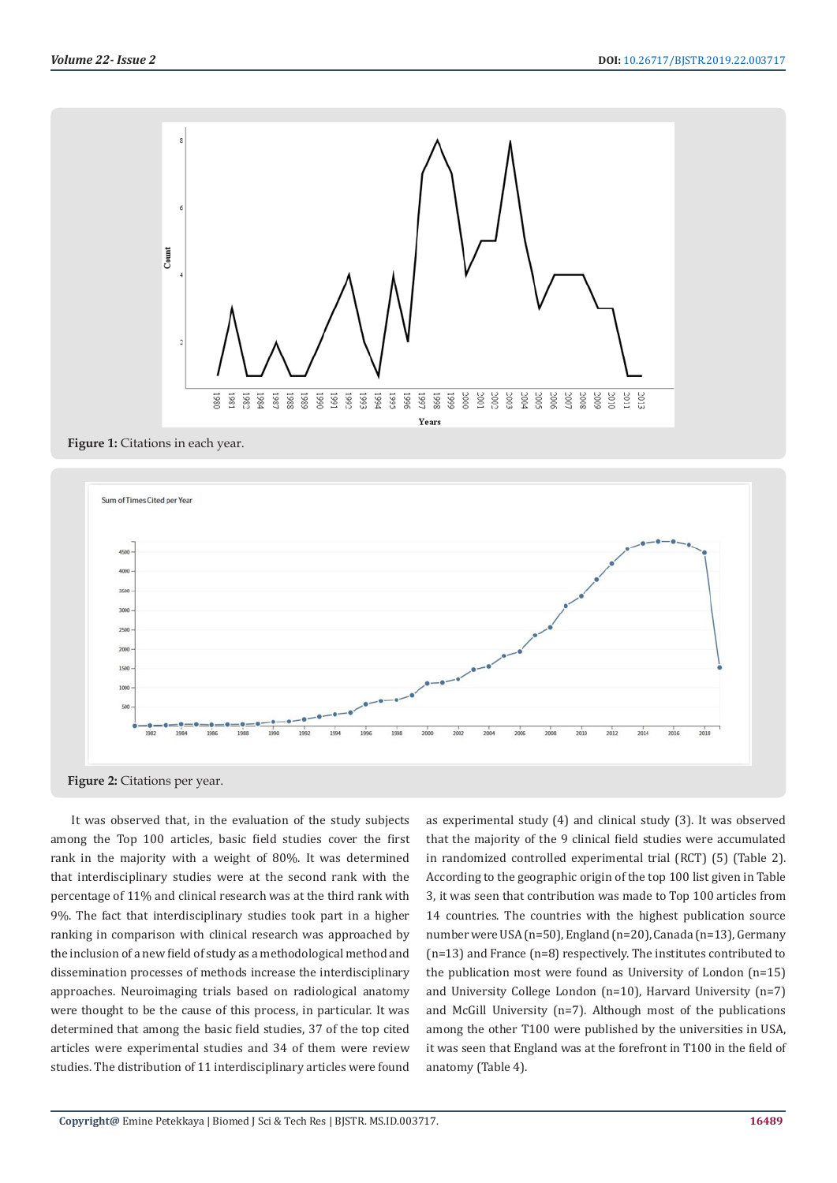

**Figure 1:** Citations in each year.





It was observed that, in the evaluation of the study subjects among the Top 100 articles, basic field studies cover the first rank in the majority with a weight of 80%. It was determined that interdisciplinary studies were at the second rank with the percentage of 11% and clinical research was at the third rank with 9%. The fact that interdisciplinary studies took part in a higher ranking in comparison with clinical research was approached by the inclusion of a new field of study as a methodological method and dissemination processes of methods increase the interdisciplinary approaches. Neuroimaging trials based on radiological anatomy were thought to be the cause of this process, in particular. It was determined that among the basic field studies, 37 of the top cited articles were experimental studies and 34 of them were review studies. The distribution of 11 interdisciplinary articles were found

as experimental study (4) and clinical study (3). It was observed that the majority of the 9 clinical field studies were accumulated in randomized controlled experimental trial (RCT) (5) (Table 2). According to the geographic origin of the top 100 list given in Table 3, it was seen that contribution was made to Top 100 articles from 14 countries. The countries with the highest publication source number were USA (n=50), England (n=20), Canada (n=13), Germany (n=13) and France (n=8) respectively. The institutes contributed to the publication most were found as University of London (n=15) and University College London (n=10), Harvard University (n=7) and McGill University (n=7). Although most of the publications among the other T100 were published by the universities in USA, it was seen that England was at the forefront in T100 in the field of anatomy (Table 4).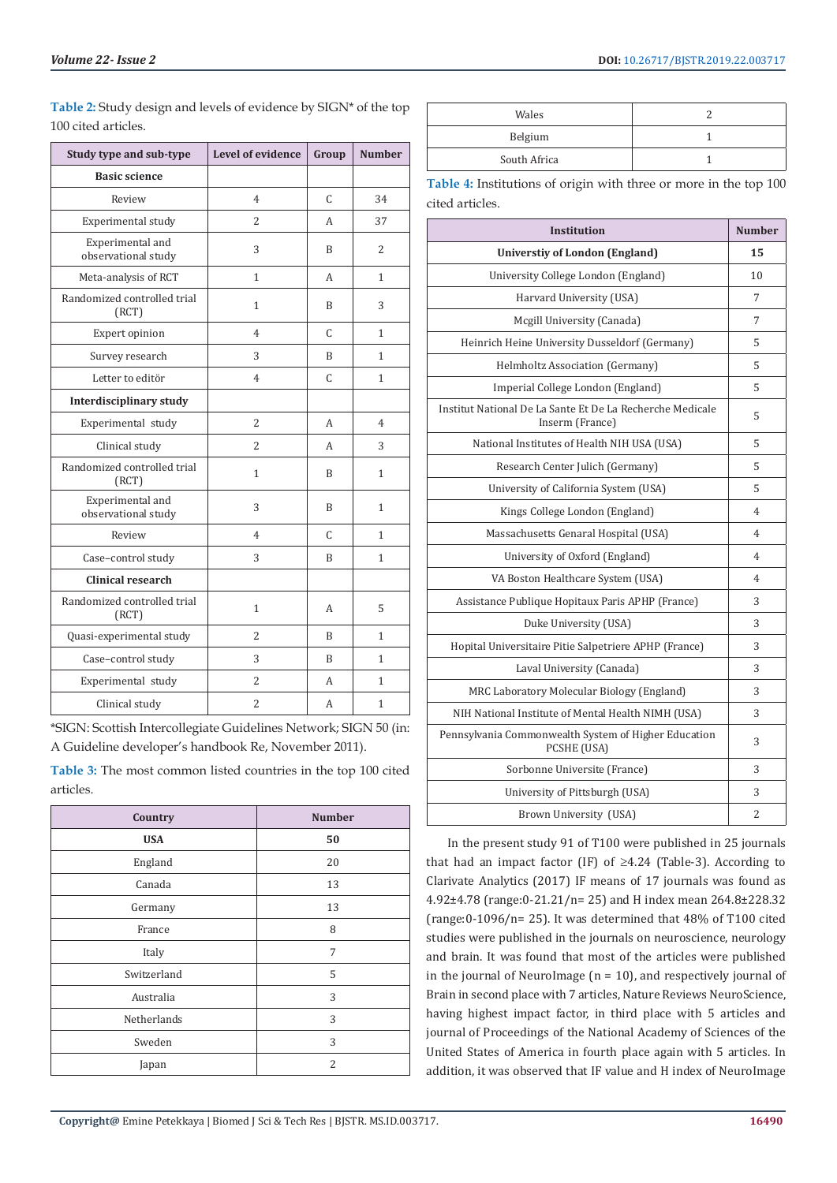| Study type and sub-type                 | <b>Level of evidence</b> | Group        | <b>Number</b> |
|-----------------------------------------|--------------------------|--------------|---------------|
| <b>Basic science</b>                    |                          |              |               |
| Review                                  | $\overline{4}$           | C            | 34            |
| Experimental study                      | $\overline{c}$           | A            | 37            |
| Experimental and<br>observational study | 3                        | B            | 2             |
| Meta-analysis of RCT                    | $\mathbf{1}$             | A            | $\mathbf{1}$  |
| Randomized controlled trial<br>(RCT)    | 1                        | R            | 3             |
| Expert opinion                          | $\overline{4}$           | C            | $\mathbf{1}$  |
| Survey research                         | 3                        | B            | $\mathbf{1}$  |
| Letter to editör                        | 4                        | C            | 1             |
| Interdisciplinary study                 |                          |              |               |
| Experimental study                      | 2                        | A            | 4             |
| Clinical study                          | 2                        | A            | 3             |
| Randomized controlled trial<br>(RCT)    | 1                        | B            | $\mathbf{1}$  |
| Experimental and<br>observational study | 3                        | B            | $\mathbf{1}$  |
| Review                                  | 4                        | C            | 1             |
| Case-control study                      | 3                        | B            | 1             |
| Clinical research                       |                          |              |               |
| Randomized controlled trial<br>(RCT)    | 1                        | A            | 5             |
| Quasi-experimental study                | $\overline{2}$           | B            | $\mathbf{1}$  |
| Case-control study                      | 3                        | <sub>R</sub> | 1             |
| Experimental study                      | $\overline{2}$           | A            | $\mathbf{1}$  |
| Clinical study                          | $\overline{2}$           | A            | $\mathbf{1}$  |

**Table 2:** Study design and levels of evidence by SIGN\* of the top 100 cited articles.

\*SIGN: Scottish Intercollegiate Guidelines Network; SIGN 50 (in: A Guideline developer's handbook Re, November 2011).

**Table 3:** The most common listed countries in the top 100 cited articles.

| Country     | <b>Number</b> |
|-------------|---------------|
| <b>USA</b>  | 50            |
| England     | 20            |
| Canada      | 13            |
| Germany     | 13            |
| France      | 8             |
| Italy       | 7             |
| Switzerland | 5             |
| Australia   | 3             |
| Netherlands | 3             |
| Sweden      | 3             |
| Japan       | 2             |

| Wales        |  |
|--------------|--|
| Belgium      |  |
| South Africa |  |
|              |  |

**Table 4:** Institutions of origin with three or more in the top 100 cited articles.

| <b>Institution</b>                                                           | <b>Number</b> |
|------------------------------------------------------------------------------|---------------|
| <b>Universtiy of London (England)</b>                                        | 15            |
| University College London (England)                                          | 10            |
| Harvard University (USA)                                                     | 7             |
| Mcgill University (Canada)                                                   | 7             |
| Heinrich Heine University Dusseldorf (Germany)                               | 5             |
| Helmholtz Association (Germany)                                              | 5             |
| Imperial College London (England)                                            | 5             |
| Institut National De La Sante Et De La Recherche Medicale<br>Inserm (France) | 5             |
| National Institutes of Health NIH USA (USA)                                  | 5             |
| Research Center Julich (Germany)                                             | 5             |
| University of California System (USA)                                        | 5             |
| Kings College London (England)                                               | 4             |
| Massachusetts Genaral Hospital (USA)                                         | 4             |
| University of Oxford (England)                                               | 4             |
| VA Boston Healthcare System (USA)                                            | 4             |
| Assistance Publique Hopitaux Paris APHP (France)                             | 3             |
| Duke University (USA)                                                        | 3             |
| Hopital Universitaire Pitie Salpetriere APHP (France)                        | 3             |
| Laval University (Canada)                                                    | 3             |
| MRC Laboratory Molecular Biology (England)                                   | 3             |
| NIH National Institute of Mental Health NIMH (USA)                           | 3             |
| Pennsylvania Commonwealth System of Higher Education<br>PCSHE (USA)          | 3             |
| Sorbonne Universite (France)                                                 | 3             |
| University of Pittsburgh (USA)                                               | 3             |
| Brown University (USA)                                                       | 2             |

In the present study 91 of T100 were published in 25 journals that had an impact factor (IF) of  $\geq$ 4.24 (Table-3). According to Clarivate Analytics (2017) IF means of 17 journals was found as 4.92±4.78 (range:0-21.21/n= 25) and H index mean 264.8±228.32 (range:0-1096/n= 25). It was determined that 48% of T100 cited studies were published in the journals on neuroscience, neurology and brain. It was found that most of the articles were published in the journal of NeuroImage ( $n = 10$ ), and respectively journal of Brain in second place with 7 articles, Nature Reviews NeuroScience, having highest impact factor, in third place with 5 articles and journal of Proceedings of the National Academy of Sciences of the United States of America in fourth place again with 5 articles. In addition, it was observed that IF value and H index of NeuroImage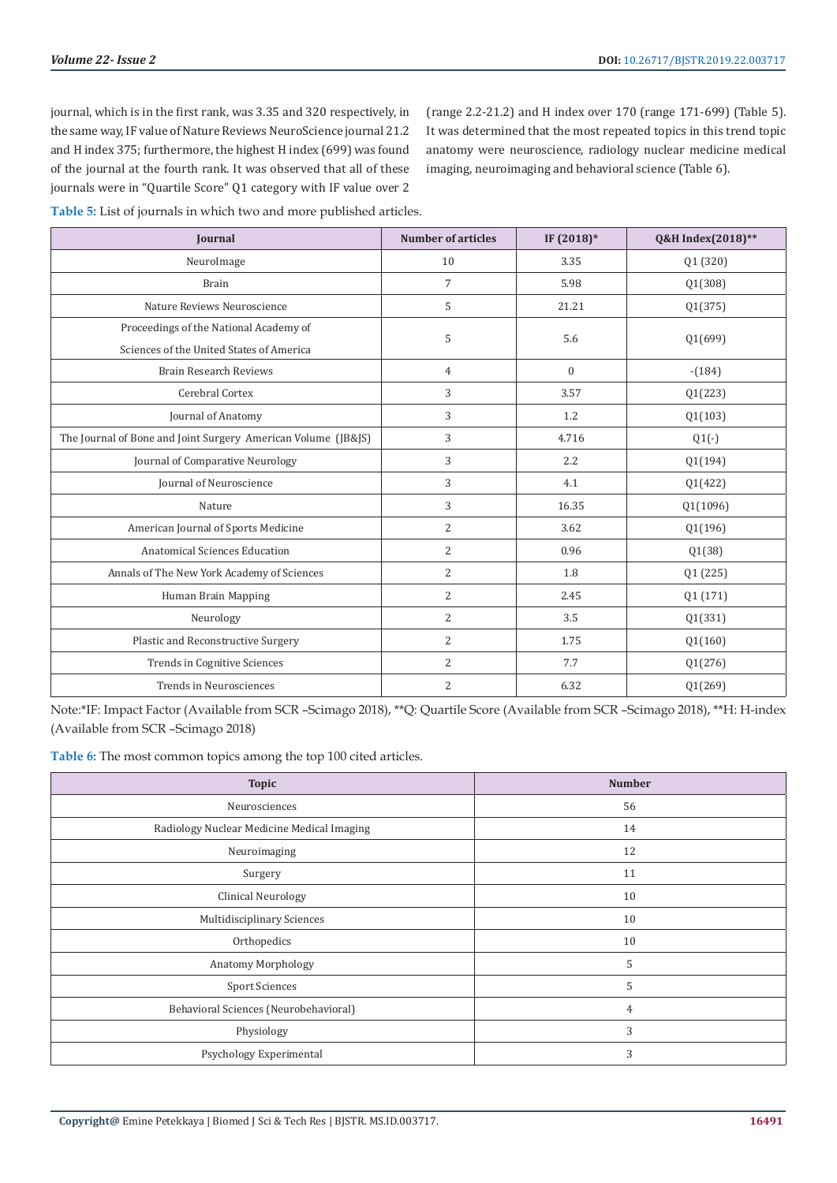journal, which is in the first rank, was 3.35 and 320 respectively, in the same way, IF value of Nature Reviews NeuroScience journal 21.2 and H index 375; furthermore, the highest H index (699) was found of the journal at the fourth rank. It was observed that all of these journals were in "Quartile Score" Q1 category with IF value over 2

(range 2.2-21.2) and H index over 170 (range 171-699) (Table 5). It was determined that the most repeated topics in this trend topic anatomy were neuroscience, radiology nuclear medicine medical imaging, neuroimaging and behavioral science (Table 6).

**Table 5:** List of journals in which two and more published articles.

| <b>Journal</b>                                                | <b>Number of articles</b> | IF (2018)*       | Q&H Index(2018)** |
|---------------------------------------------------------------|---------------------------|------------------|-------------------|
| NeuroImage                                                    | 10                        | 3.35             | Q1 (320)          |
| <b>Brain</b>                                                  | 7                         | 5.98             | Q1(308)           |
| Nature Reviews Neuroscience                                   | 5                         | 21.21            | Q1(375)           |
| Proceedings of the National Academy of                        | 5                         | 5.6              |                   |
| Sciences of the United States of America                      |                           |                  | Q1(699)           |
| <b>Brain Research Reviews</b>                                 | 4                         | $\mathbf{0}$     | $-(184)$          |
| Cerebral Cortex                                               | 3                         | 3.57             | Q1(223)           |
| Journal of Anatomy                                            | 3                         | 1.2              | Q1(103)           |
| The Journal of Bone and Joint Surgery American Volume (JB&JS) | 3                         | 4.716            | $Q1(-)$           |
| Journal of Comparative Neurology                              | 3                         | $2.2\phantom{0}$ | Q1(194)           |
| Journal of Neuroscience                                       | 3                         | 4.1              | Q1(422)           |
| Nature                                                        | 3                         | 16.35            | Q1(1096)          |
| American Journal of Sports Medicine                           | 2                         | 3.62             | Q1(196)           |
| Anatomical Sciences Education                                 | 2                         | 0.96             | Q1(38)            |
| Annals of The New York Academy of Sciences                    | $\overline{2}$            | 1.8              | Q1 (225)          |
| Human Brain Mapping                                           | 2                         | 2.45             | Q1 (171)          |
| Neurology                                                     | 2                         | 3.5              | Q1(331)           |
| Plastic and Reconstructive Surgery                            | 2                         | 1.75             | Q1(160)           |
| Trends in Cognitive Sciences                                  | 2                         | 7.7              | Q1(276)           |
| Trends in Neurosciences                                       | 2                         | 6.32             | Q1(269)           |

Note:\*IF: Impact Factor (Available from SCR –Scimago 2018), \*\*Q: Quartile Score (Available from SCR –Scimago 2018), \*\*H: H-index (Available from SCR –Scimago 2018)

Table 6: The most common topics among the top 100 cited articles.

| <b>Topic</b>                               | <b>Number</b> |
|--------------------------------------------|---------------|
| Neurosciences                              | 56            |
| Radiology Nuclear Medicine Medical Imaging | 14            |
| Neuroimaging                               | 12            |
| Surgery                                    | 11            |
| <b>Clinical Neurology</b>                  | 10            |
| Multidisciplinary Sciences                 | 10            |
| Orthopedics                                | 10            |
| Anatomy Morphology                         | 5             |
| <b>Sport Sciences</b>                      | 5             |
| Behavioral Sciences (Neurobehavioral)      | 4             |
| Physiology                                 | 3             |
| Psychology Experimental                    | 3             |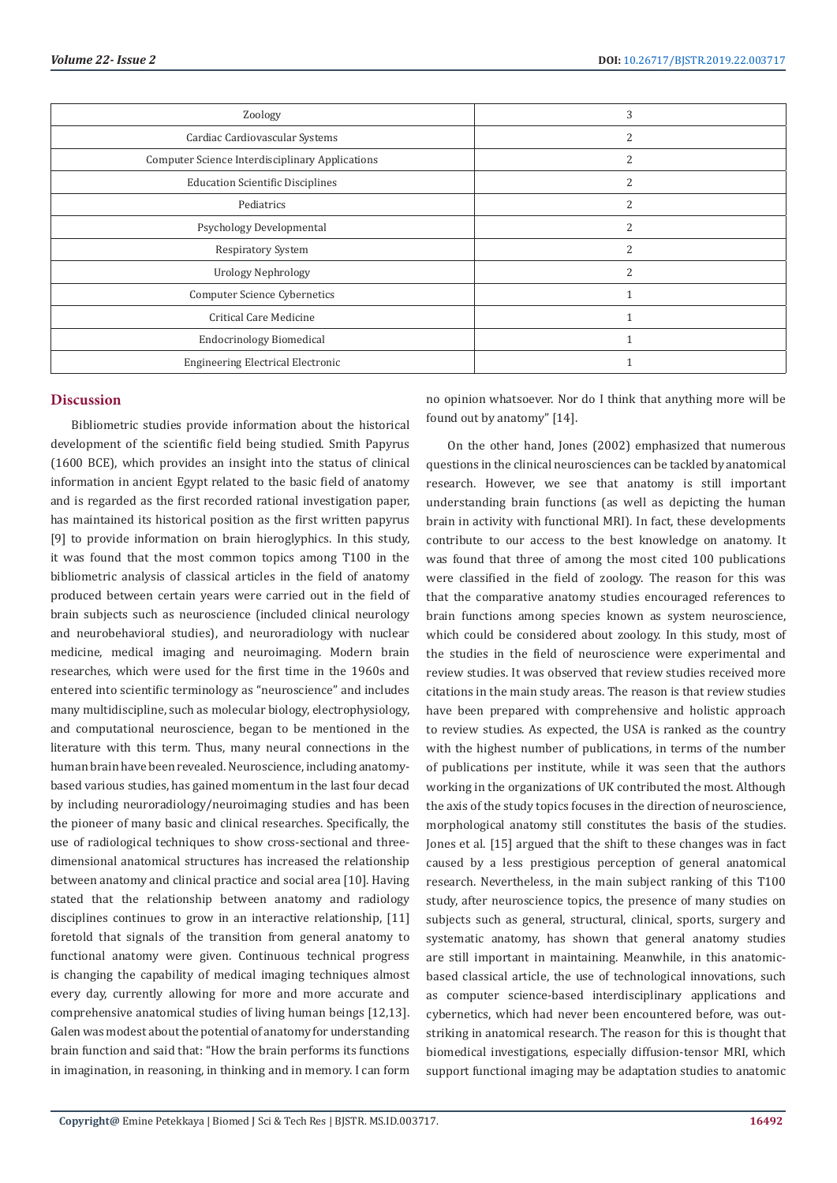| Zoology                                                | 3                        |
|--------------------------------------------------------|--------------------------|
| Cardiac Cardiovascular Systems                         | ∠                        |
| <b>Computer Science Interdisciplinary Applications</b> | Z                        |
| <b>Education Scientific Disciplines</b>                | 2                        |
| Pediatrics                                             |                          |
| Psychology Developmental                               |                          |
| Respiratory System                                     | $\overline{\mathcal{L}}$ |
| <b>Urology Nephrology</b>                              | $\mathcal{L}$            |
| Computer Science Cybernetics                           |                          |
| Critical Care Medicine                                 |                          |
| <b>Endocrinology Biomedical</b>                        |                          |
| <b>Engineering Electrical Electronic</b>               |                          |

#### **Discussion**

Bibliometric studies provide information about the historical development of the scientific field being studied. Smith Papyrus (1600 BCE), which provides an insight into the status of clinical information in ancient Egypt related to the basic field of anatomy and is regarded as the first recorded rational investigation paper, has maintained its historical position as the first written papyrus [9] to provide information on brain hieroglyphics. In this study, it was found that the most common topics among T100 in the bibliometric analysis of classical articles in the field of anatomy produced between certain years were carried out in the field of brain subjects such as neuroscience (included clinical neurology and neurobehavioral studies), and neuroradiology with nuclear medicine, medical imaging and neuroimaging. Modern brain researches, which were used for the first time in the 1960s and entered into scientific terminology as "neuroscience" and includes many multidiscipline, such as molecular biology, electrophysiology, and computational neuroscience, began to be mentioned in the literature with this term. Thus, many neural connections in the human brain have been revealed. Neuroscience, including anatomybased various studies, has gained momentum in the last four decad by including neuroradiology/neuroimaging studies and has been the pioneer of many basic and clinical researches. Specifically, the use of radiological techniques to show cross-sectional and threedimensional anatomical structures has increased the relationship between anatomy and clinical practice and social area [10]. Having stated that the relationship between anatomy and radiology disciplines continues to grow in an interactive relationship, [11] foretold that signals of the transition from general anatomy to functional anatomy were given. Continuous technical progress is changing the capability of medical imaging techniques almost every day, currently allowing for more and more accurate and comprehensive anatomical studies of living human beings [12,13]. Galen was modest about the potential of anatomy for understanding brain function and said that: "How the brain performs its functions in imagination, in reasoning, in thinking and in memory. I can form

no opinion whatsoever. Nor do I think that anything more will be found out by anatomy" [14].

On the other hand, Jones (2002) emphasized that numerous questions in the clinical neurosciences can be tackled by anatomical research. However, we see that anatomy is still important understanding brain functions (as well as depicting the human brain in activity with functional MRI). In fact, these developments contribute to our access to the best knowledge on anatomy. It was found that three of among the most cited 100 publications were classified in the field of zoology. The reason for this was that the comparative anatomy studies encouraged references to brain functions among species known as system neuroscience, which could be considered about zoology. In this study, most of the studies in the field of neuroscience were experimental and review studies. It was observed that review studies received more citations in the main study areas. The reason is that review studies have been prepared with comprehensive and holistic approach to review studies. As expected, the USA is ranked as the country with the highest number of publications, in terms of the number of publications per institute, while it was seen that the authors working in the organizations of UK contributed the most. Although the axis of the study topics focuses in the direction of neuroscience, morphological anatomy still constitutes the basis of the studies. Jones et al. [15] argued that the shift to these changes was in fact caused by a less prestigious perception of general anatomical research. Nevertheless, in the main subject ranking of this T100 study, after neuroscience topics, the presence of many studies on subjects such as general, structural, clinical, sports, surgery and systematic anatomy, has shown that general anatomy studies are still important in maintaining. Meanwhile, in this anatomicbased classical article, the use of technological innovations, such as computer science-based interdisciplinary applications and cybernetics, which had never been encountered before, was outstriking in anatomical research. The reason for this is thought that biomedical investigations, especially diffusion-tensor MRI, which support functional imaging may be adaptation studies to anatomic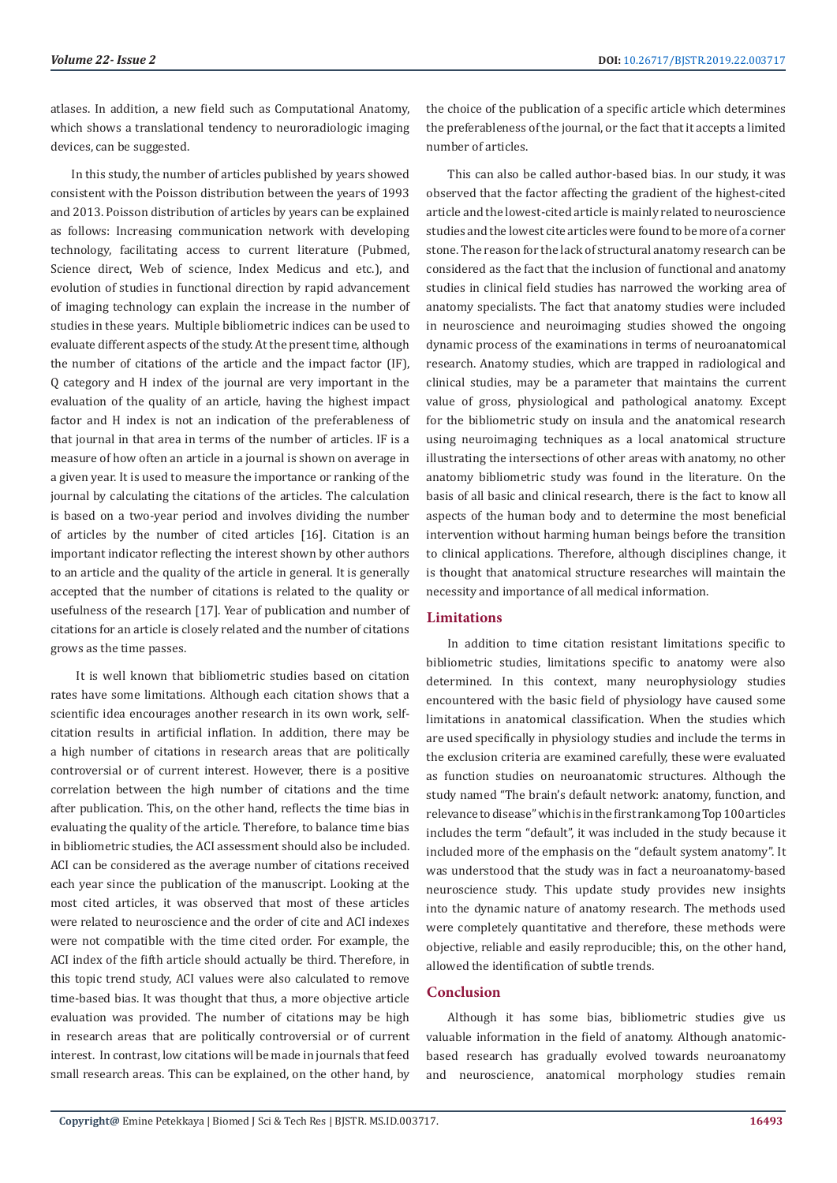atlases. In addition, a new field such as Computational Anatomy, which shows a translational tendency to neuroradiologic imaging devices, can be suggested.

In this study, the number of articles published by years showed consistent with the Poisson distribution between the years of 1993 and 2013. Poisson distribution of articles by years can be explained as follows: Increasing communication network with developing technology, facilitating access to current literature (Pubmed, Science direct, Web of science, Index Medicus and etc.), and evolution of studies in functional direction by rapid advancement of imaging technology can explain the increase in the number of studies in these years. Multiple bibliometric indices can be used to evaluate different aspects of the study. At the present time, although the number of citations of the article and the impact factor (IF), Q category and H index of the journal are very important in the evaluation of the quality of an article, having the highest impact factor and H index is not an indication of the preferableness of that journal in that area in terms of the number of articles. IF is a measure of how often an article in a journal is shown on average in a given year. It is used to measure the importance or ranking of the journal by calculating the citations of the articles. The calculation is based on a two-year period and involves dividing the number of articles by the number of cited articles [16]. Citation is an important indicator reflecting the interest shown by other authors to an article and the quality of the article in general. It is generally accepted that the number of citations is related to the quality or usefulness of the research [17]. Year of publication and number of citations for an article is closely related and the number of citations grows as the time passes.

 It is well known that bibliometric studies based on citation rates have some limitations. Although each citation shows that a scientific idea encourages another research in its own work, selfcitation results in artificial inflation. In addition, there may be a high number of citations in research areas that are politically controversial or of current interest. However, there is a positive correlation between the high number of citations and the time after publication. This, on the other hand, reflects the time bias in evaluating the quality of the article. Therefore, to balance time bias in bibliometric studies, the ACI assessment should also be included. ACI can be considered as the average number of citations received each year since the publication of the manuscript. Looking at the most cited articles, it was observed that most of these articles were related to neuroscience and the order of cite and ACI indexes were not compatible with the time cited order. For example, the ACI index of the fifth article should actually be third. Therefore, in this topic trend study, ACI values were also calculated to remove time-based bias. It was thought that thus, a more objective article evaluation was provided. The number of citations may be high in research areas that are politically controversial or of current interest. In contrast, low citations will be made in journals that feed small research areas. This can be explained, on the other hand, by

the choice of the publication of a specific article which determines the preferableness of the journal, or the fact that it accepts a limited number of articles.

This can also be called author-based bias. In our study, it was observed that the factor affecting the gradient of the highest-cited article and the lowest-cited article is mainly related to neuroscience studies and the lowest cite articles were found to be more of a corner stone. The reason for the lack of structural anatomy research can be considered as the fact that the inclusion of functional and anatomy studies in clinical field studies has narrowed the working area of anatomy specialists. The fact that anatomy studies were included in neuroscience and neuroimaging studies showed the ongoing dynamic process of the examinations in terms of neuroanatomical research. Anatomy studies, which are trapped in radiological and clinical studies, may be a parameter that maintains the current value of gross, physiological and pathological anatomy. Except for the bibliometric study on insula and the anatomical research using neuroimaging techniques as a local anatomical structure illustrating the intersections of other areas with anatomy, no other anatomy bibliometric study was found in the literature. On the basis of all basic and clinical research, there is the fact to know all aspects of the human body and to determine the most beneficial intervention without harming human beings before the transition to clinical applications. Therefore, although disciplines change, it is thought that anatomical structure researches will maintain the necessity and importance of all medical information.

#### **Limitations**

In addition to time citation resistant limitations specific to bibliometric studies, limitations specific to anatomy were also determined. In this context, many neurophysiology studies encountered with the basic field of physiology have caused some limitations in anatomical classification. When the studies which are used specifically in physiology studies and include the terms in the exclusion criteria are examined carefully, these were evaluated as function studies on neuroanatomic structures. Although the study named "The brain's default network: anatomy, function, and relevance to disease" which is in the first rank among Top 100 articles includes the term "default", it was included in the study because it included more of the emphasis on the "default system anatomy". It was understood that the study was in fact a neuroanatomy-based neuroscience study. This update study provides new insights into the dynamic nature of anatomy research. The methods used were completely quantitative and therefore, these methods were objective, reliable and easily reproducible; this, on the other hand, allowed the identification of subtle trends.

# **Conclusion**

Although it has some bias, bibliometric studies give us valuable information in the field of anatomy. Although anatomicbased research has gradually evolved towards neuroanatomy and neuroscience, anatomical morphology studies remain